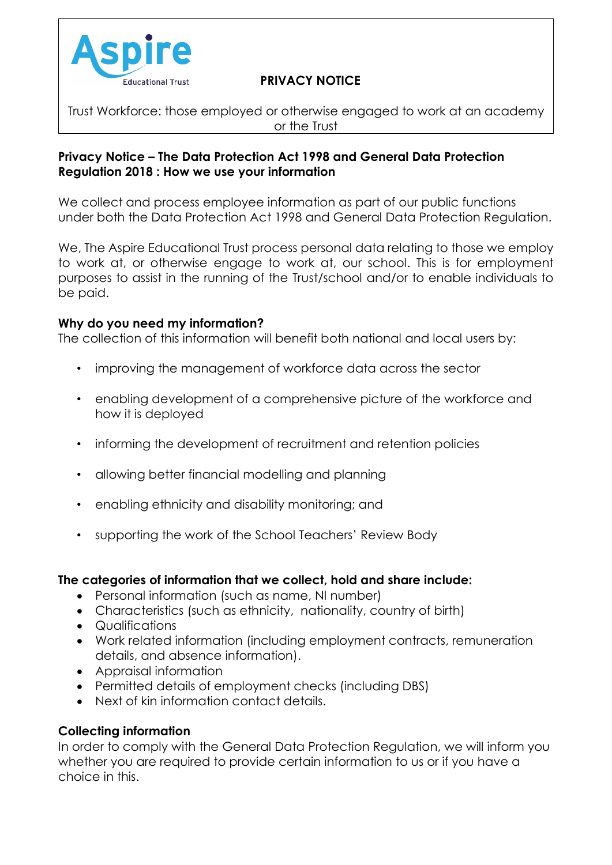

# Educational Trust **PRIVACY NOTICE**

Trust Workforce: those employed or otherwise engaged to work at an academy or the Trust

### **Privacy Notice – The Data Protection Act 1998 and General Data Protection Regulation 2018 : How we use your information**

We collect and process employee information as part of our public functions under both the Data Protection Act 1998 and General Data Protection Regulation.

We, The Aspire Educational Trust process personal data relating to those we employ to work at, or otherwise engage to work at, our school. This is for employment purposes to assist in the running of the Trust/school and/or to enable individuals to be paid.

### **Why do you need my information?**

The collection of this information will benefit both national and local users by:

- improving the management of workforce data across the sector
- enabling development of a comprehensive picture of the workforce and how it is deployed
- informing the development of recruitment and retention policies
- allowing better financial modelling and planning
- enabling ethnicity and disability monitoring; and
- supporting the work of the School Teachers' Review Body

### **The categories of information that we collect, hold and share include:**

- Personal information (such as name, NI number)
- Characteristics (such as ethnicity, nationality, country of birth)
- Qualifications
- Work related information (including employment contracts, remuneration details, and absence information).
- Appraisal information
- Permitted details of employment checks (including DBS)
- Next of kin information contact details.

### **Collecting information**

In order to comply with the General Data Protection Regulation, we will inform you whether you are required to provide certain information to us or if you have a choice in this.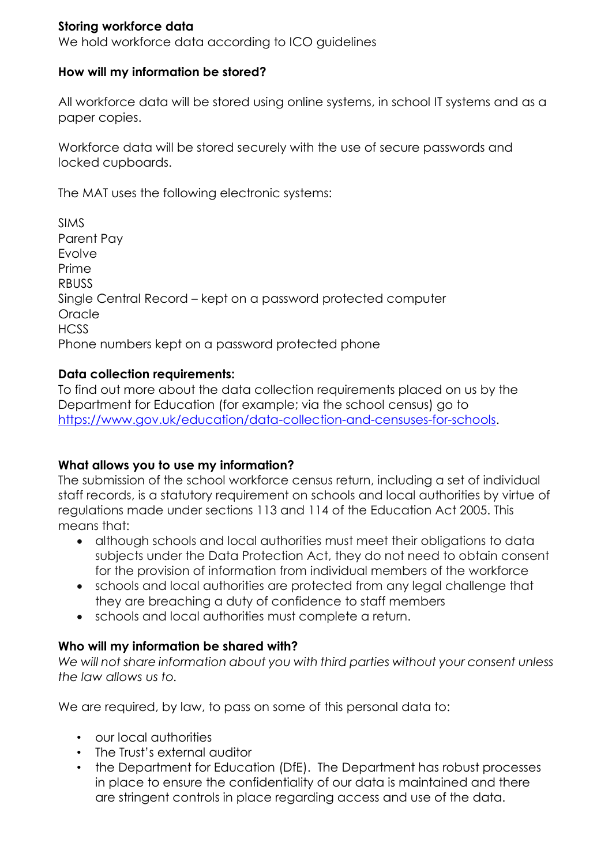### **Storing workforce data**

We hold workforce data according to ICO guidelines

### **How will my information be stored?**

All workforce data will be stored using online systems, in school IT systems and as a paper copies.

Workforce data will be stored securely with the use of secure passwords and locked cupboards.

The MAT uses the following electronic systems:

SIMS Parent Pay Evolve Prime RBUSS Single Central Record – kept on a password protected computer Oracle HCSS Phone numbers kept on a password protected phone

#### **Data collection requirements:**

To find out more about the data collection requirements placed on us by the Department for Education (for example; via the school census) go to [https://www.gov.uk/education/data-collection-and-censuses-for-schools.](https://www.gov.uk/education/data-collection-and-censuses-for-schools)

### **What allows you to use my information?**

The submission of the school workforce census return, including a set of individual staff records, is a statutory requirement on schools and local authorities by virtue of regulations made under sections 113 and 114 of the Education Act 2005. This means that:

- although schools and local authorities must meet their obligations to data subjects under the Data Protection Act, they do not need to obtain consent for the provision of information from individual members of the workforce
- schools and local authorities are protected from any legal challenge that they are breaching a duty of confidence to staff members
- schools and local authorities must complete a return.

### **Who will my information be shared with?**

*We will not share information about you with third parties without your consent unless the law allows us to.*

We are required, by law, to pass on some of this personal data to:

- our local authorities
- The Trust's external auditor
- the Department for Education (DfE). The Department has robust processes in place to ensure the confidentiality of our data is maintained and there are stringent controls in place regarding access and use of the data.